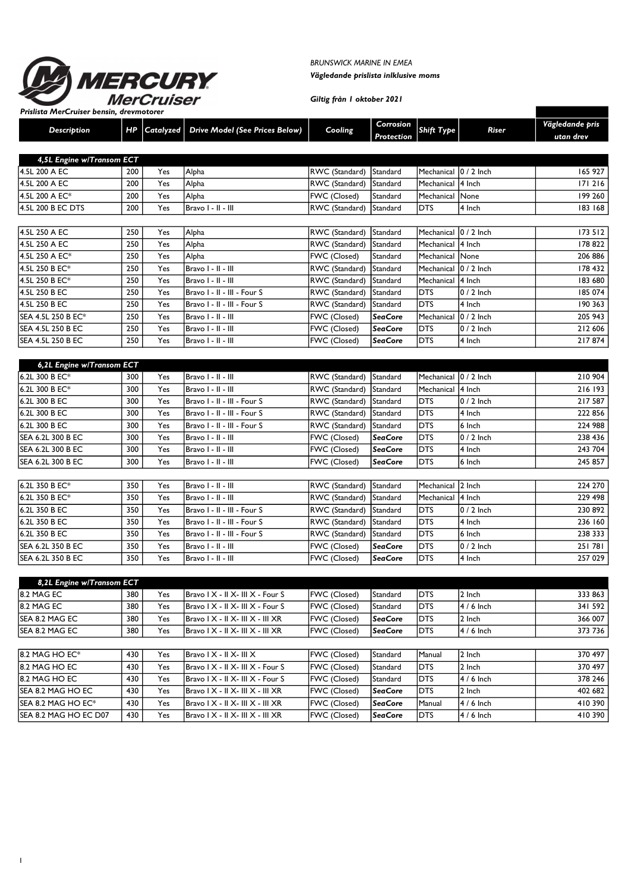

BRUNSWICK MARINE IN EMEA Vägledande prislista inlklusive moms

Giltig från 1 oktober 2021

1

| <b>Fishsta Mercruiser Densin, drevinotore</b><br><b>Description</b> | HP         | Catalyzed  | Drive Model (See Prices Below)       | Cooling                        | Corrosion<br>Protection | Shift Type               | Riser          | Vägledande pris<br>utan drev |
|---------------------------------------------------------------------|------------|------------|--------------------------------------|--------------------------------|-------------------------|--------------------------|----------------|------------------------------|
|                                                                     |            |            |                                      |                                |                         |                          |                |                              |
| 4,5L Engine w/Transom ECT                                           |            |            |                                      |                                |                         | Mechanical 0 / 2 Inch    |                |                              |
| 4.5L 200 A EC<br>4.5L 200 A EC                                      | 200<br>200 | Yes<br>Yes | Alpha                                | RWC (Standard)                 | Standard                |                          |                | 165 927<br>171216            |
| 4.5L 200 A EC*                                                      | 200        | Yes        | Alpha<br>Alpha                       | RWC (Standard)<br>FWC (Closed) | Standard<br>Standard    | Mechanical<br>Mechanical | 4 Inch<br>None | 199 260                      |
| 4.5L 200 B EC DTS                                                   | 200        | Yes        | Bravo I - II - III                   | RWC (Standard)                 | Standard                | <b>DTS</b>               | 4 Inch         | 183 168                      |
|                                                                     |            |            |                                      |                                |                         |                          |                |                              |
| 4.5L 250 A EC                                                       | 250        | Yes        | Alpha                                | RWC (Standard)                 | Standard                | Mechanical               | $0/2$ Inch     | 173 512                      |
| 4.5L 250 A EC                                                       | 250        | Yes        | Alpha                                | RWC (Standard)                 | Standard                | Mechanical               | 4 Inch         | 178 822                      |
| 4.5L 250 A EC*                                                      | 250        | Yes        | Alpha                                | FWC (Closed)                   | Standard                | Mechanical               | None           | 206 886                      |
| 4.5L 250 B EC*                                                      | 250        | Yes        | Bravo I - II - III                   | RWC (Standard)                 | Standard                | Mechanical               | 0 / 2 Inch     | 178 432                      |
| 4.5L 250 B EC*                                                      | 250        | Yes        | Bravo I - II - III                   | RWC (Standard)                 | Standard                | Mechanical               | 4 Inch         | 183 680                      |
| 4.5L 250 B EC                                                       | 250        | Yes        | Bravo I - II - III - Four S          | RWC (Standard)                 | Standard                | <b>DTS</b>               | 0 / 2 Inch     | 185 074                      |
| 4.5L 250 B EC                                                       | 250        | Yes        | Bravo I - II - III - Four S          | RWC (Standard)                 | Standard                | <b>DTS</b>               | 4 Inch         | 190 363                      |
| SEA 4.5L 250 B EC*                                                  | 250        | Yes        | Bravo I - II - III                   | FWC (Closed)                   | <b>SeaCore</b>          | Mechanical               | 0 / 2 Inch     | 205 943                      |
| <b>SEA 4.5L 250 B EC</b>                                            | 250        | Yes        | Bravo I - II - III                   | FWC (Closed)                   | <b>SeaCore</b>          | <b>DTS</b>               | $0/2$ Inch     | 212 606                      |
| <b>SEA 4.5L 250 B EC</b>                                            | 250        | Yes        | Bravo I - II - III                   | FWC (Closed)                   | <b>SeaCore</b>          | <b>DTS</b>               | 4 Inch         | 217874                       |
|                                                                     |            |            |                                      |                                |                         |                          |                |                              |
| 6,2L Engine w/Transom ECT                                           |            |            |                                      |                                |                         |                          |                |                              |
| 6.2L 300 B EC*                                                      | 300        | Yes        | Bravo I - II - III                   | RWC (Standard)                 | Standard                | Mechanical               | $0/2$ Inch     | 210 904                      |
| 6.2L 300 B EC*                                                      | 300        | Yes        | Bravo I - II - III                   | RWC (Standard)                 | Standard                | Mechanical               | 4 Inch         | 216 193                      |
| 6.2L 300 B EC                                                       | 300        | Yes        | Bravo I - II - III - Four S          | RWC (Standard)                 | Standard                | <b>DTS</b>               | 0 / 2 Inch     | 217 587                      |
| 6.2L 300 B EC                                                       | 300        | Yes        | Bravo I - II - III - Four S          | RWC (Standard)                 | Standard                | <b>DTS</b>               | 4 Inch         | 222 856                      |
| 6.2L 300 B EC                                                       | 300        | Yes        | Bravo I - II - III - Four S          | RWC (Standard)                 | Standard                | <b>DTS</b>               | 6 Inch         | 224 988                      |
| SEA 6.2L 300 B EC                                                   | 300        | Yes        | Bravo I - II - III                   | FWC (Closed)                   | <b>SeaCore</b>          | <b>DTS</b>               | 0 / 2 Inch     | 238 436                      |
| SEA 6.2L 300 B EC                                                   | 300        | Yes        | Bravo I - II - III                   | FWC (Closed)                   | <b>SeaCore</b>          | <b>DTS</b>               | 4 Inch         | 243 704                      |
| SEA 6.2L 300 B EC                                                   | 300        | Yes        | Bravo I - II - III                   | FWC (Closed)                   | <b>SeaCore</b>          | <b>DTS</b>               | 6 Inch         | 245 857                      |
| 6.2L 350 B EC*                                                      | 350        | Yes        | Bravo I - II - III                   | RWC (Standard)                 | Standard                | Mechanical               | 2 Inch         | 224 270                      |
| 6.2L 350 B EC*                                                      | 350        | Yes        | Bravo I - II - III                   | RWC (Standard)                 | Standard                | Mechanical               | 4 Inch         | 229 498                      |
| 6.2L 350 B EC                                                       | 350        | Yes        | Bravo I - II - III - Four S          | RWC (Standard)                 | Standard                | <b>DTS</b>               | 0 / 2 Inch     | 230 892                      |
| 6.2L 350 B EC                                                       | 350        | Yes        | Bravo I - II - III - Four S          | RWC (Standard)                 | Standard                | <b>DTS</b>               | 4 Inch         | 236 160                      |
| 6.2L 350 B EC                                                       | 350        | Yes        | Bravo I - II - III - Four S          | RWC (Standard)                 | Standard                | <b>DTS</b>               | 6 Inch         | 238 333                      |
| SEA 6.2L 350 B EC                                                   | 350        | Yes        | Bravo I - II - III                   | FWC (Closed)                   | <b>SeaCore</b>          | <b>DTS</b>               | 0 / 2 Inch     | 251781                       |
| SEA 6.2L 350 B EC                                                   | 350        | Yes        | Bravo I - II - III                   | FWC (Closed)                   | SeaCore                 | <b>DTS</b>               | 4 Inch         | 257 029                      |
|                                                                     |            |            |                                      |                                |                         |                          |                |                              |
| 8,2L Engine w/Transom ECT                                           |            |            |                                      |                                |                         |                          |                |                              |
| 8.2 MAG EC                                                          | 380        | Yes        | Bravo I X - II X- III X - Four S     | FWC (Closed)                   | Standard                | DTS                      | 2 Inch         | 333 863                      |
| 8.2 MAG EC                                                          | 380        | Yes        | Bravo I X - II X- III X - Four S     | FWC (Closed)                   | Standard                | <b>DTS</b>               | 4 / 6 Inch     | 341 592                      |
| SEA 8.2 MAG EC                                                      | 380        | Yes        | Bravo   X -    X-     X -     XR     | FWC (Closed)                   | <b>SeaCore</b>          | <b>DTS</b>               | 2 Inch         | 366 007                      |
| SEA 8.2 MAG EC                                                      | 380        | Yes        | Bravo I X - II X- III X - III XR     | FWC (Closed)                   | <b>SeaCore</b>          | <b>DTS</b>               | 4 / 6 Inch     | 373 736                      |
| 8.2 MAG HO EC*                                                      | 430        | Yes        | Bravo I X - II X- III X              | FWC (Closed)                   | Standard                | Manual                   | 2 Inch         | 370 497                      |
| 8.2 MAG HO EC                                                       | 430        | Yes        | Bravo I X - II X- III X - Four S     | FWC (Closed)                   | Standard                | <b>DTS</b>               | 2 Inch         | 370 497                      |
| 8.2 MAG HO EC                                                       | 430        | Yes        | Bravo I X - II X- III X - Four S     | FWC (Closed)                   | Standard                | DTS                      | 4 / 6 Inch     | 378 246                      |
| SEA 8.2 MAG HO EC                                                   | 430        | Yes        | Bravo I X - II X- III X - III XR     | FWC (Closed)                   | <b>SeaCore</b>          | <b>DTS</b>               | 2 Inch         | 402 682                      |
| SEA 8.2 MAG HO EC*                                                  | 430        | Yes        | $Bravo I X - II X - III X - III X R$ | FWC (Closed)                   | <b>SeaCore</b>          | Manual                   | 4 / 6 Inch     | 410390                       |
| SEA 8.2 MAG HO EC D07                                               | 430        | Yes        | Bravo   X -    X-     X -     XR     | FWC (Closed)                   | <b>SeaCore</b>          | <b>DTS</b>               | 4 / 6 Inch     | 410390                       |
|                                                                     |            |            |                                      |                                |                         |                          |                |                              |